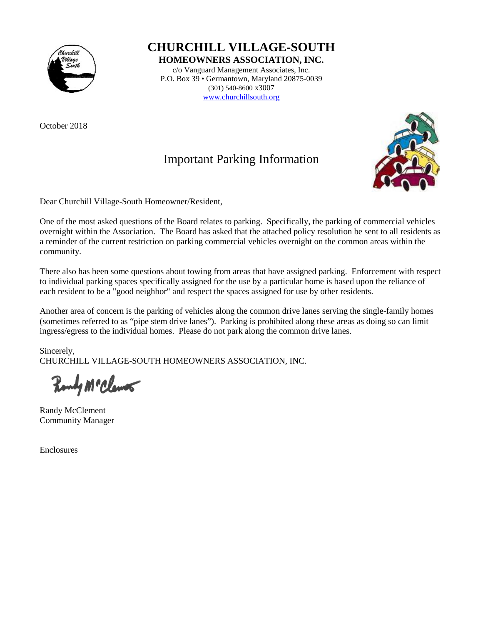

October 2018

**CHURCHILL VILLAGE-SOUTH**

**HOMEOWNERS ASSOCIATION, INC.**

c/o Vanguard Management Associates, Inc. P.O. Box 39 • Germantown, Maryland 20875-0039 (301) 540-8600 x3007 [www.churchillsouth.org](http://www.churchillsouth.org/)

Important Parking Information



Dear Churchill Village-South Homeowner/Resident,

One of the most asked questions of the Board relates to parking. Specifically, the parking of commercial vehicles overnight within the Association. The Board has asked that the attached policy resolution be sent to all residents as a reminder of the current restriction on parking commercial vehicles overnight on the common areas within the community.

There also has been some questions about towing from areas that have assigned parking. Enforcement with respect to individual parking spaces specifically assigned for the use by a particular home is based upon the reliance of each resident to be a "good neighbor" and respect the spaces assigned for use by other residents.

Another area of concern is the parking of vehicles along the common drive lanes serving the single-family homes (sometimes referred to as "pipe stem drive lanes"). Parking is prohibited along these areas as doing so can limit ingress/egress to the individual homes. Please do not park along the common drive lanes.

Sincerely, CHURCHILL VILLAGE-SOUTH HOMEOWNERS ASSOCIATION, INC.

Rondy McClemer

Randy McClement Community Manager

Enclosures